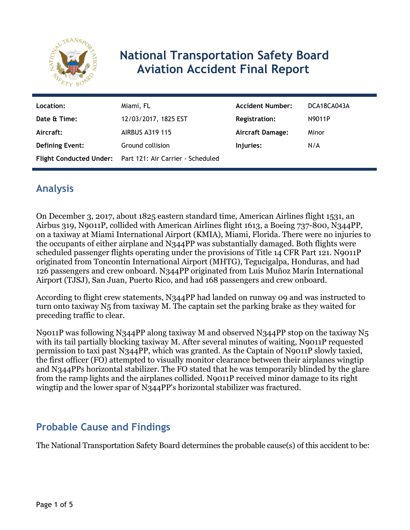

# **National Transportation Safety Board Aviation Accident Final Report**

| Location:<br>Date & Time: | Miami, FL<br>12/03/2017, 1825 EST                                             | <b>Accident Number:</b><br><b>Registration:</b> | DCA18CA043A<br>N9011P |
|---------------------------|-------------------------------------------------------------------------------|-------------------------------------------------|-----------------------|
| Aircraft:                 | <b>AIRBUS A319 115</b>                                                        | Aircraft Damage:                                | Minor                 |
| <b>Defining Event:</b>    | Ground collision<br>Flight Conducted Under: Part 121: Air Carrier - Scheduled | Injuries:                                       | N/A                   |

## **Analysis**

On December 3, 2017, about 1825 eastern standard time, American Airlines flight 1531, an Airbus 319, N9011P, collided with American Airlines flight 1613, a Boeing 737-800, N344PP, on a taxiway at Miami International Airport (KMIA), Miami, Florida. There were no injuries to the occupants of either airplane and N344PP was substantially damaged. Both flights were scheduled passenger flights operating under the provisions of Title 14 CFR Part 121. N9011P originated from Toncontín International Airport (MHTG), Tegucigalpa, Honduras, and had 126 passengers and crew onboard. N344PP originated from Luis Muñoz Marín International Airport (TJSJ), San Juan, Puerto Rico, and had 168 passengers and crew onboard.

According to flight crew statements, N344PP had landed on runway 09 and was instructed to turn onto taxiway N5 from taxiway M. The captain set the parking brake as they waited for preceding traffic to clear.

N9011P was following N344PP along taxiway M and observed N344PP stop on the taxiway N5 with its tail partially blocking taxiway M. After several minutes of waiting, N9011P requested permission to taxi past N344PP, which was granted. As the Captain of N9011P slowly taxied, the first officer (FO) attempted to visually monitor clearance between their airplanes wingtip and N344PPs horizontal stabilizer. The FO stated that he was temporarily blinded by the glare from the ramp lights and the airplanes collided. N9011P received minor damage to its right wingtip and the lower spar of N344PP's horizontal stabilizer was fractured.

# **Probable Cause and Findings**

The National Transportation Safety Board determines the probable cause(s) of this accident to be: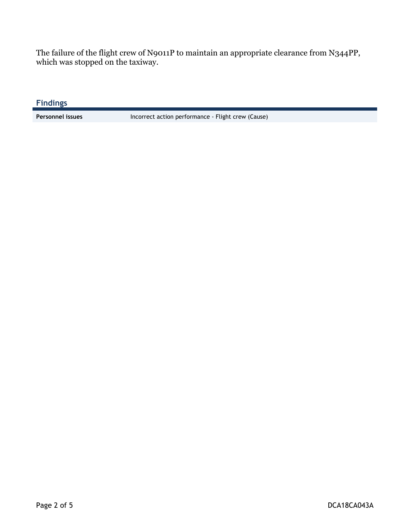The failure of the flight crew of N9011P to maintain an appropriate clearance from N344PP, which was stopped on the taxiway.

**Findings**

Personnel issues **Incorrect action performance** - Flight crew (Cause)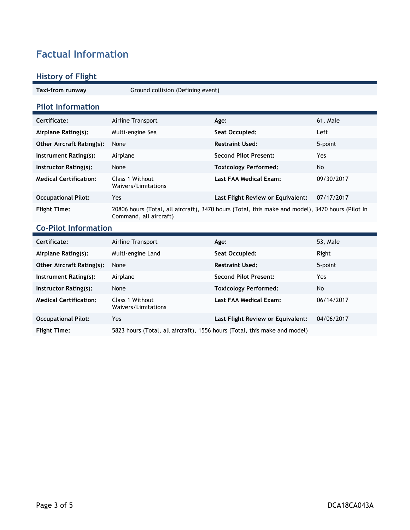# **Factual Information**

### **History of Flight**

**Taxi-from runway** Ground collision (Defining event)

### **Pilot Information**

| Certificate:                     | Airline Transport                      | Age:                                                                                             | 61, Male   |
|----------------------------------|----------------------------------------|--------------------------------------------------------------------------------------------------|------------|
| Airplane Rating(s):              | Multi-engine Sea                       | Seat Occupied:                                                                                   | Left       |
| <b>Other Aircraft Rating(s):</b> | None                                   | <b>Restraint Used:</b>                                                                           | 5-point    |
| Instrument Rating(s):            | Airplane                               | <b>Second Pilot Present:</b>                                                                     | Yes        |
| Instructor Rating(s):            | None                                   | <b>Toxicology Performed:</b>                                                                     | No         |
| <b>Medical Certification:</b>    | Class 1 Without<br>Waivers/Limitations | Last FAA Medical Exam:                                                                           | 09/30/2017 |
| <b>Occupational Pilot:</b>       | Yes                                    | Last Flight Review or Equivalent:                                                                | 07/17/2017 |
| <b>Flight Time:</b>              | Command, all aircraft)                 | 20806 hours (Total, all aircraft), 3470 hours (Total, this make and model), 3470 hours (Pilot In |            |

## **Co-Pilot Information**

| Certificate:                     | Airline Transport                                                         | Age:                              | 53, Male   |
|----------------------------------|---------------------------------------------------------------------------|-----------------------------------|------------|
| Airplane Rating(s):              | Multi-engine Land                                                         | Seat Occupied:                    | Right      |
| <b>Other Aircraft Rating(s):</b> | None                                                                      | <b>Restraint Used:</b>            | 5-point    |
| Instrument Rating(s):            | Airplane                                                                  | <b>Second Pilot Present:</b>      | Yes        |
| Instructor Rating(s):            | None                                                                      | <b>Toxicology Performed:</b>      | No         |
| <b>Medical Certification:</b>    | Class 1 Without<br>Waivers/Limitations                                    | Last FAA Medical Exam:            | 06/14/2017 |
| <b>Occupational Pilot:</b>       | Yes.                                                                      | Last Flight Review or Equivalent: | 04/06/2017 |
| <b>Flight Time:</b>              | 5823 hours (Total, all aircraft), 1556 hours (Total, this make and model) |                                   |            |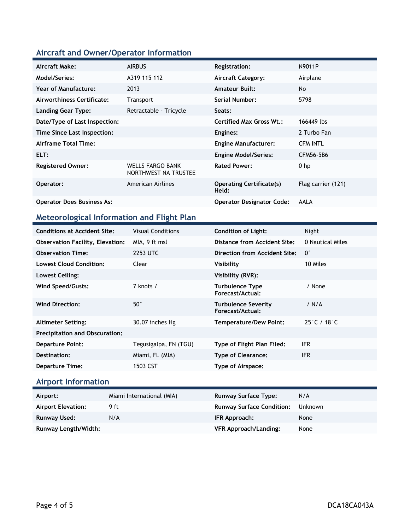## **Aircraft and Owner/Operator Information**

| Aircraft Make:                    | <b>AIRBUS</b>                                   | <b>Registration:</b>                     | N9011P             |
|-----------------------------------|-------------------------------------------------|------------------------------------------|--------------------|
| Model/Series:                     | A319 115 112                                    | <b>Aircraft Category:</b>                | Airplane           |
| <b>Year of Manufacture:</b>       | 2013                                            | <b>Amateur Built:</b>                    | <b>No</b>          |
| Airworthiness Certificate:        | Transport                                       | <b>Serial Number:</b>                    | 5798               |
| Landing Gear Type:                | Retractable - Tricycle                          | Seats:                                   |                    |
| Date/Type of Last Inspection:     |                                                 | <b>Certified Max Gross Wt.:</b>          | 166449 lbs         |
| Time Since Last Inspection:       |                                                 | Engines:                                 | 2 Turbo Fan        |
| Airframe Total Time:              |                                                 | <b>Engine Manufacturer:</b>              | <b>CFM INTL</b>    |
| ELT:                              |                                                 | <b>Engine Model/Series:</b>              | CFM56-5B6          |
| <b>Registered Owner:</b>          | <b>WELLS FARGO BANK</b><br>NORTHWEST NA TRUSTEE | <b>Rated Power:</b>                      | $0$ hp             |
| Operator:                         | American Airlines                               | <b>Operating Certificate(s)</b><br>Held: | Flag carrier (121) |
| <b>Operator Does Business As:</b> |                                                 | <b>Operator Designator Code:</b>         | AALA               |

## **Meteorological Information and Flight Plan**

| <b>Conditions at Accident Site:</b>     | <b>Visual Conditions</b> | <b>Condition of Light:</b>                     | Night                            |
|-----------------------------------------|--------------------------|------------------------------------------------|----------------------------------|
| <b>Observation Facility, Elevation:</b> | MIA, 9 ft msl            | Distance from Accident Site:                   | 0 Nautical Miles                 |
| <b>Observation Time:</b>                | 2253 UTC                 | Direction from Accident Site:                  | $0^{\circ}$                      |
| Lowest Cloud Condition:                 | Clear                    | Visibility                                     | 10 Miles                         |
| Lowest Ceiling:                         |                          | Visibility (RVR):                              |                                  |
| Wind Speed/Gusts:                       | 7 knots /                | <b>Turbulence Type</b><br>Forecast/Actual:     | / None                           |
| <b>Wind Direction:</b>                  | $50^{\circ}$             | <b>Turbulence Severity</b><br>Forecast/Actual: | / N/A                            |
| <b>Altimeter Setting:</b>               | 30.07 inches Hg          | <b>Temperature/Dew Point:</b>                  | $25^{\circ}$ C / 18 $^{\circ}$ C |
| <b>Precipitation and Obscuration:</b>   |                          |                                                |                                  |
| <b>Departure Point:</b>                 | Tegusigalpa, FN (TGU)    | Type of Flight Plan Filed:                     | IFR.                             |
| Destination:                            | Miami, FL (MIA)          | <b>Type of Clearance:</b>                      | <b>IFR</b>                       |
| <b>Departure Time:</b>                  | 1503 CST                 | Type of Airspace:                              |                                  |

# **Airport Information**

| Airport:                  | Miami International (MIA) | <b>Runway Surface Type:</b>      | N/A            |
|---------------------------|---------------------------|----------------------------------|----------------|
| <b>Airport Elevation:</b> | 9 ft                      | <b>Runway Surface Condition:</b> | <b>Unknown</b> |
| Runway Used:              | N/A                       | IFR Approach:                    | None           |
| Runway Length/Width:      |                           | <b>VFR Approach/Landing:</b>     | None           |